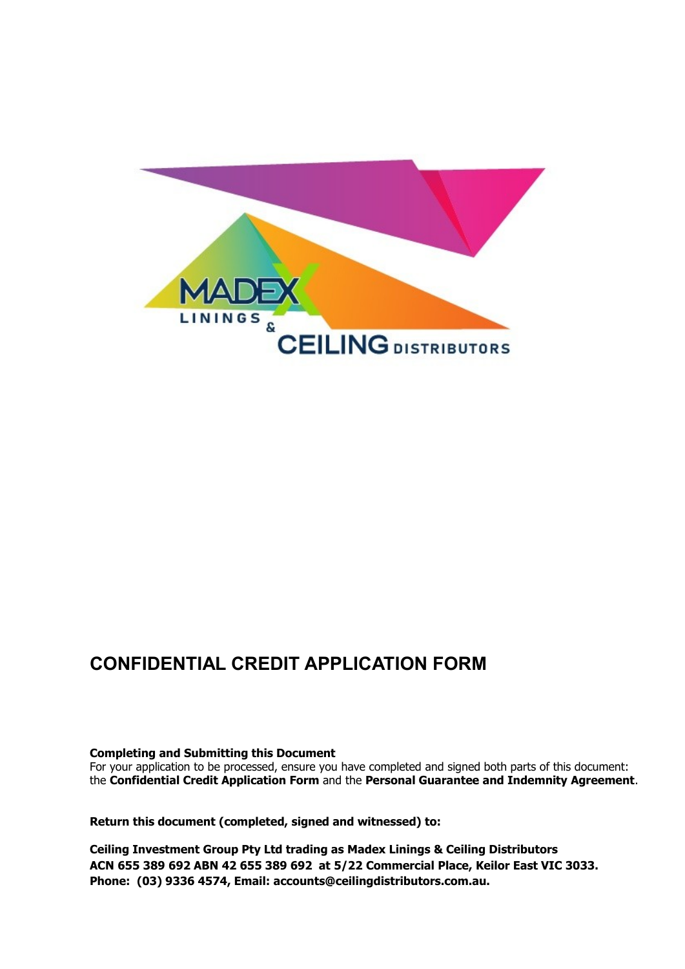

## **CONFIDENTIAL CREDIT APPLICATION FORM**

## **Completing and Submitting this Document**

For your application to be processed, ensure you have completed and signed both parts of this document: the **Confidential Credit Application Form** and the **Personal Guarantee and Indemnity Agreement**.

**Return this document (completed, signed and witnessed) to:** 

**Ceiling Investment Group Pty Ltd trading as Madex Linings & Ceiling Distributors ACN 655 389 692 ABN 42 655 389 692 at 5/22 Commercial Place, Keilor East VIC 3033. Phone: (03) 9336 4574, Email: accounts@ceilingdistributors.com.au.**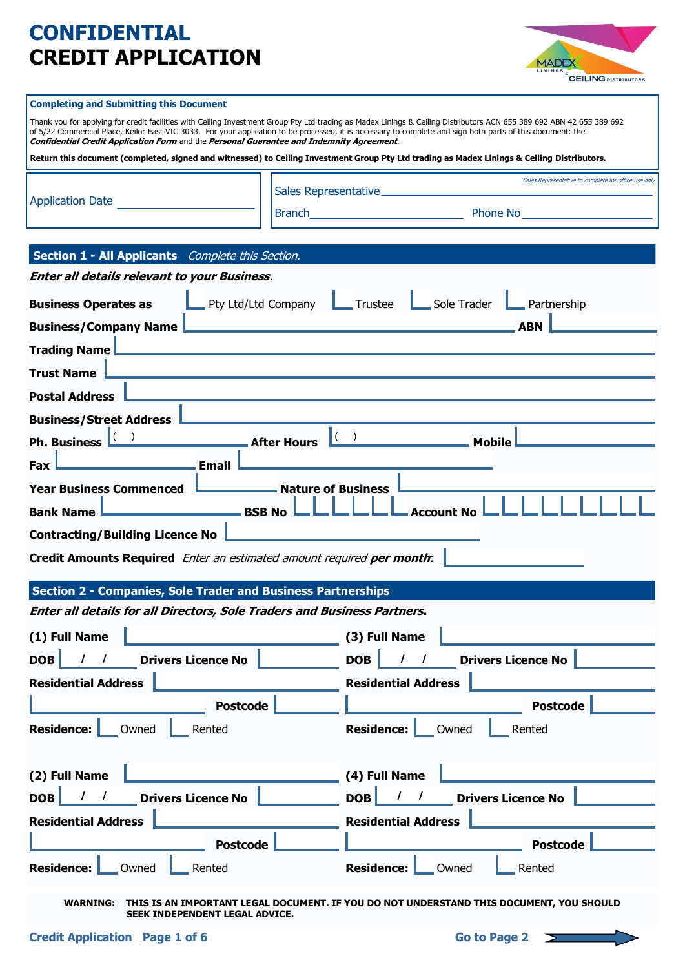# **CONFIDENTIAL CREDIT APPLICATION**



#### **Completing and Submitting this Document**

Thank you for applying for credit facilities with Ceiling Investment Group Pty Ltd trading as Madex Linings & Ceiling Distributors ACN 655 389 692 ABN 42 655 389 692 of 5/22 Commercial Place, Keilor East VIC 3033. For your application to be processed, it is necessary to complete and sign both parts of this document: the **Confidential Credit Application Form** and the **Personal Guarantee and Indemnity Agreement**.

**Return this document (completed, signed and witnessed) to Ceiling Investment Group Pty Ltd trading as Madex Linings & Ceiling Distributors.** 

|                         | Sales Representative_ | Sales Representative to complete for office use only |  |
|-------------------------|-----------------------|------------------------------------------------------|--|
| <b>Application Date</b> | Branch                | Phone No                                             |  |

| Section 1 - All Applicants Complete this Section.                        |                                                            |
|--------------------------------------------------------------------------|------------------------------------------------------------|
| <b>Enter all details relevant to your Business.</b>                      |                                                            |
| Pty Ltd/Ltd Company<br><b>Business Operates as</b>                       | Sole Trader<br>Trustee<br>Partnership                      |
| <b>Business/Company Name</b>                                             | <b>ABN</b>                                                 |
| <b>Trading Name</b>                                                      |                                                            |
| <b>Trust Name</b>                                                        |                                                            |
| <b>Postal Address</b>                                                    |                                                            |
| <b>Business/Street Address</b>                                           |                                                            |
| <b>Ph. Business</b><br><b>After Hours</b>                                | $\vert \hspace{.06cm} ( \hspace{.1cm} )$<br><b>Mobile</b>  |
| <b>Email</b><br>Fax                                                      |                                                            |
| <b>Year Business Commenced</b><br><b>Nature of Business</b>              |                                                            |
| <b>Bank Name</b><br><b>BSB No</b>                                        | <b>Account No</b>                                          |
| <b>Contracting/Building Licence No</b>                                   |                                                            |
| Credit Amounts Required Enter an estimated amount required per month:    |                                                            |
| <b>Section 2 - Companies, Sole Trader and Business Partnerships</b>      |                                                            |
| Enter all details for all Directors, Sole Traders and Business Partners. |                                                            |
| (1) Full Name                                                            | (3) Full Name                                              |
| <b>Drivers Licence No</b><br><b>DOB</b>                                  | <b>Drivers Licence No</b><br><b>DOB</b>                    |
| <b>Residential Address</b>                                               | <b>Residential Address</b>                                 |
| <b>Postcode</b>                                                          | <b>Postcode</b>                                            |
| <b>Residence:</b><br>Owned<br>Rented                                     | <b>Residence:</b><br>Owned<br>Rented                       |
| (2) Full Name                                                            | (4) Full Name                                              |
| <b>Drivers Licence No</b><br><b>DOB</b>                                  | <b>DOB</b><br><b>Drivers Licence No</b><br>$\prime$        |
| <b>Residential Address</b>                                               | <b>Residential Address</b>                                 |
|                                                                          |                                                            |
| <b>Postcode</b><br>Residence:<br>_Owned<br>Rented                        | <b>Postcode</b><br><b>Residence:</b><br>Rented<br>__ Owned |
|                                                                          |                                                            |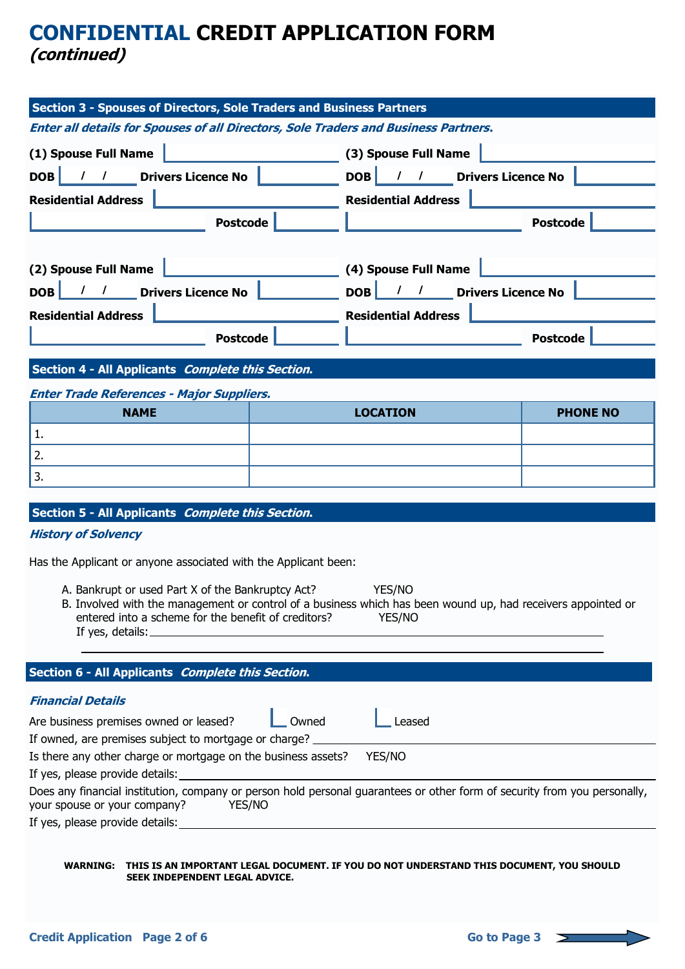## **CONFIDENTIAL CREDIT APPLICATION FORM (continued)**

| Section 3 - Spouses of Directors, Sole Traders and Business Partners                                                                                                                                                                      |              |                                                                                                                  |  |                 |
|-------------------------------------------------------------------------------------------------------------------------------------------------------------------------------------------------------------------------------------------|--------------|------------------------------------------------------------------------------------------------------------------|--|-----------------|
| <b>Enter all details for Spouses of all Directors, Sole Traders and Business Partners.</b>                                                                                                                                                |              |                                                                                                                  |  |                 |
| (1) Spouse Full Name                                                                                                                                                                                                                      |              | (3) Spouse Full Name                                                                                             |  |                 |
| DOB<br>/ / Drivers Licence No                                                                                                                                                                                                             |              | / / Drivers Licence No<br>DOB                                                                                    |  |                 |
|                                                                                                                                                                                                                                           |              |                                                                                                                  |  |                 |
| <b>Residential Address</b>                                                                                                                                                                                                                |              | <b>Residential Address</b>                                                                                       |  |                 |
| <b>Postcode</b>                                                                                                                                                                                                                           |              |                                                                                                                  |  | <b>Postcode</b> |
|                                                                                                                                                                                                                                           |              |                                                                                                                  |  |                 |
| (2) Spouse Full Name                                                                                                                                                                                                                      |              | (4) Spouse Full Name                                                                                             |  |                 |
| DOB<br>/ / Drivers Licence No                                                                                                                                                                                                             |              | <b>DOB</b><br><b>Drivers Licence No</b><br>$\overline{1}$                                                        |  |                 |
| <b>Residential Address</b>                                                                                                                                                                                                                |              | <b>Residential Address</b>                                                                                       |  |                 |
| <b>Postcode</b>                                                                                                                                                                                                                           |              |                                                                                                                  |  | <b>Postcode</b> |
|                                                                                                                                                                                                                                           |              |                                                                                                                  |  |                 |
| Section 4 - All Applicants Complete this Section.                                                                                                                                                                                         |              |                                                                                                                  |  |                 |
| <b>Enter Trade References - Major Suppliers.</b>                                                                                                                                                                                          |              |                                                                                                                  |  |                 |
| <b>NAME</b>                                                                                                                                                                                                                               |              | <b>LOCATION</b>                                                                                                  |  | <b>PHONE NO</b> |
| 1.                                                                                                                                                                                                                                        |              |                                                                                                                  |  |                 |
| 2.                                                                                                                                                                                                                                        |              |                                                                                                                  |  |                 |
| 3.                                                                                                                                                                                                                                        |              |                                                                                                                  |  |                 |
|                                                                                                                                                                                                                                           |              |                                                                                                                  |  |                 |
| Section 5 - All Applicants Complete this Section.                                                                                                                                                                                         |              |                                                                                                                  |  |                 |
| <b>History of Solvency</b>                                                                                                                                                                                                                |              |                                                                                                                  |  |                 |
| Has the Applicant or anyone associated with the Applicant been:                                                                                                                                                                           |              |                                                                                                                  |  |                 |
| YES/NO<br>A. Bankrupt or used Part X of the Bankruptcy Act?<br>B. Involved with the management or control of a business which has been wound up, had receivers appointed or<br>entered into a scheme for the benefit of creditors? YES/NO |              |                                                                                                                  |  |                 |
|                                                                                                                                                                                                                                           |              | and the control of the control of the control of the control of the control of the control of the control of the |  |                 |
| Section 6 - All Applicants Complete this Section.                                                                                                                                                                                         |              |                                                                                                                  |  |                 |
| <b>Financial Details</b>                                                                                                                                                                                                                  |              |                                                                                                                  |  |                 |
| Are business premises owned or leased?                                                                                                                                                                                                    | $\Box$ Owned | Leased                                                                                                           |  |                 |
| If owned, are premises subject to mortgage or charge? __________________________                                                                                                                                                          |              |                                                                                                                  |  |                 |
| Is there any other charge or mortgage on the business assets? YES/NO                                                                                                                                                                      |              |                                                                                                                  |  |                 |
|                                                                                                                                                                                                                                           |              |                                                                                                                  |  |                 |
| Does any financial institution, company or person hold personal guarantees or other form of security from you personally,<br>your spouse or your company?<br><b>THES/NO</b>                                                               |              |                                                                                                                  |  |                 |
| If yes, please provide details: example and a series of the series of the series of the series of the series of the series of the series of the series of the series of the series of the series of the series of the series o            |              |                                                                                                                  |  |                 |
| WARNING: THIS IS AN IMPORTANT LEGAL DOCUMENT. IF YOU DO NOT UNDERSTAND THIS DOCUMENT, YOU SHOULD<br>SEEK INDEPENDENT LEGAL ADVICE.                                                                                                        |              |                                                                                                                  |  |                 |

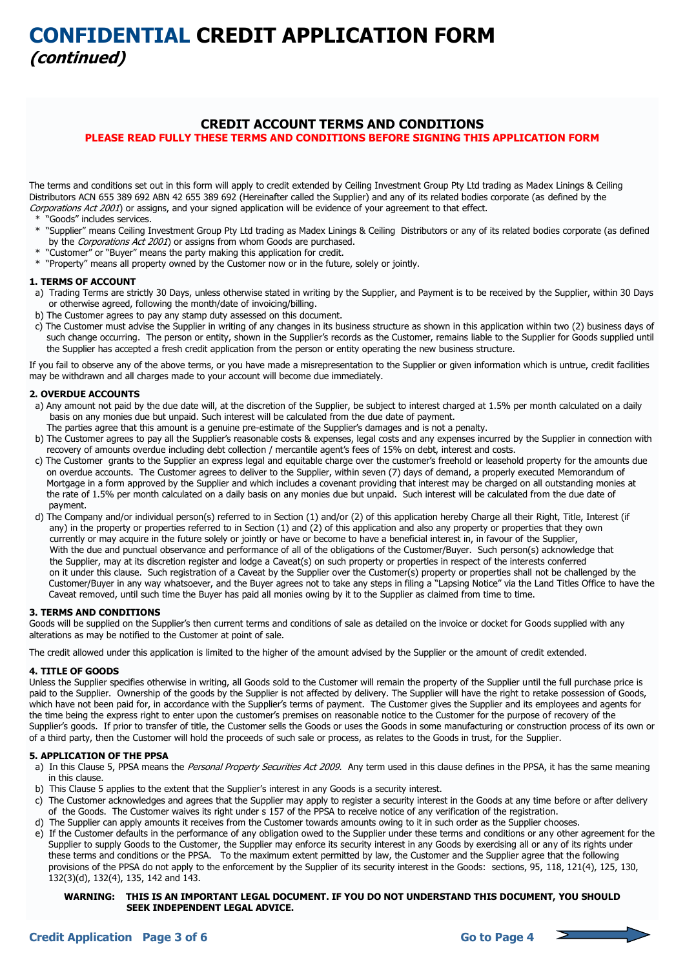## **CREDIT ACCOUNT TERMS AND CONDITIONS**

**PLEASE READ FULLY THESE TERMS AND CONDITIONS BEFORE SIGNING THIS APPLICATION FORM** 

The terms and conditions set out in this form will apply to credit extended by Ceiling Investment Group Pty Ltd trading as Madex Linings & Ceiling Distributors ACN 655 389 692 ABN 42 655 389 692 (Hereinafter called the Supplier) and any of its related bodies corporate (as defined by the Corporations Act 2001) or assigns, and your signed application will be evidence of your agreement to that effect.

- \* "Goods" includes services.
- \* "Supplier" means Ceiling Investment Group Pty Ltd trading as Madex Linings & Ceiling Distributors or any of its related bodies corporate (as defined by the Corporations Act 2001) or assigns from whom Goods are purchased.
- \* "Customer" or "Buyer" means the party making this application for credit.
- \* "Property" means all property owned by the Customer now or in the future, solely or jointly.

#### **1. TERMS OF ACCOUNT**

- a) Trading Terms are strictly 30 Days, unless otherwise stated in writing by the Supplier, and Payment is to be received by the Supplier, within 30 Days or otherwise agreed, following the month/date of invoicing/billing.
- b) The Customer agrees to pay any stamp duty assessed on this document.
- c) The Customer must advise the Supplier in writing of any changes in its business structure as shown in this application within two (2) business days of such change occurring. The person or entity, shown in the Supplier's records as the Customer, remains liable to the Supplier for Goods supplied until the Supplier has accepted a fresh credit application from the person or entity operating the new business structure.

If you fail to observe any of the above terms, or you have made a misrepresentation to the Supplier or given information which is untrue, credit facilities may be withdrawn and all charges made to your account will become due immediately.

### **2. OVERDUE ACCOUNTS**

- a) Any amount not paid by the due date will, at the discretion of the Supplier, be subject to interest charged at 1.5% per month calculated on a daily basis on any monies due but unpaid. Such interest will be calculated from the due date of payment.
- The parties agree that this amount is a genuine pre-estimate of the Supplier's damages and is not a penalty.
- b) The Customer agrees to pay all the Supplier's reasonable costs & expenses, legal costs and any expenses incurred by the Supplier in connection with recovery of amounts overdue including debt collection / mercantile agent's fees of 15% on debt, interest and costs.
- c) The Customer grants to the Supplier an express legal and equitable charge over the customer's freehold or leasehold property for the amounts due on overdue accounts. The Customer agrees to deliver to the Supplier, within seven (7) days of demand, a properly executed Memorandum of Mortgage in a form approved by the Supplier and which includes a covenant providing that interest may be charged on all outstanding monies at the rate of 1.5% per month calculated on a daily basis on any monies due but unpaid. Such interest will be calculated from the due date of payment.
- d) The Company and/or individual person(s) referred to in Section (1) and/or (2) of this application hereby Charge all their Right, Title, Interest (if any) in the property or properties referred to in Section (1) and (2) of this application and also any property or properties that they own currently or may acquire in the future solely or jointly or have or become to have a beneficial interest in, in favour of the Supplier, With the due and punctual observance and performance of all of the obligations of the Customer/Buyer. Such person(s) acknowledge that the Supplier, may at its discretion register and lodge a Caveat(s) on such property or properties in respect of the interests conferred on it under this clause. Such registration of a Caveat by the Supplier over the Customer(s) property or properties shall not be challenged by the Customer/Buyer in any way whatsoever, and the Buyer agrees not to take any steps in filing a "Lapsing Notice" via the Land Titles Office to have the Caveat removed, until such time the Buyer has paid all monies owing by it to the Supplier as claimed from time to time.

## **3. TERMS AND CONDITIONS**

Goods will be supplied on the Supplier's then current terms and conditions of sale as detailed on the invoice or docket for Goods supplied with any alterations as may be notified to the Customer at point of sale.

The credit allowed under this application is limited to the higher of the amount advised by the Supplier or the amount of credit extended.

### **4. TITLE OF GOODS**

Unless the Supplier specifies otherwise in writing, all Goods sold to the Customer will remain the property of the Supplier until the full purchase price is paid to the Supplier. Ownership of the goods by the Supplier is not affected by delivery. The Supplier will have the right to retake possession of Goods, which have not been paid for, in accordance with the Supplier's terms of payment. The Customer gives the Supplier and its employees and agents for the time being the express right to enter upon the customer's premises on reasonable notice to the Customer for the purpose of recovery of the Supplier's goods. If prior to transfer of title, the Customer sells the Goods or uses the Goods in some manufacturing or construction process of its own or of a third party, then the Customer will hold the proceeds of such sale or process, as relates to the Goods in trust, for the Supplier.

#### **5. APPLICATION OF THE PPSA**

- a) In this Clause 5, PPSA means the Personal Property Securities Act 2009. Any term used in this clause defines in the PPSA, it has the same meaning in this clause.
- b) This Clause 5 applies to the extent that the Supplier's interest in any Goods is a security interest.
- c) The Customer acknowledges and agrees that the Supplier may apply to register a security interest in the Goods at any time before or after delivery of the Goods. The Customer waives its right under s 157 of the PPSA to receive notice of any verification of the registration.
- d) The Supplier can apply amounts it receives from the Customer towards amounts owing to it in such order as the Supplier chooses.
- e) If the Customer defaults in the performance of any obligation owed to the Supplier under these terms and conditions or any other agreement for the Supplier to supply Goods to the Customer, the Supplier may enforce its security interest in any Goods by exercising all or any of its rights under these terms and conditions or the PPSA. To the maximum extent permitted by law, the Customer and the Supplier agree that the following provisions of the PPSA do not apply to the enforcement by the Supplier of its security interest in the Goods: sections, 95, 118, 121(4), 125, 130, 132(3)(d), 132(4), 135, 142 and 143.



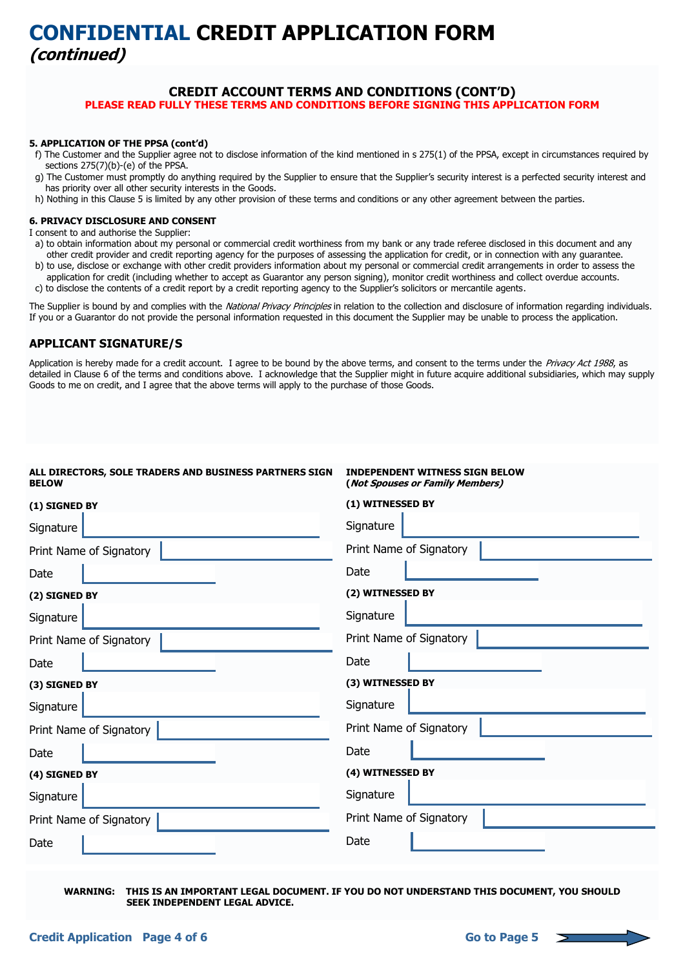# **CONFIDENTIAL CREDIT APPLICATION FORM (continued)**

## **CREDIT ACCOUNT TERMS AND CONDITIONS (CONT'D)**

**PLEASE READ FULLY THESE TERMS AND CONDITIONS BEFORE SIGNING THIS APPLICATION FORM** 

#### **5. APPLICATION OF THE PPSA (cont'd)**

- f) The Customer and the Supplier agree not to disclose information of the kind mentioned in s 275(1) of the PPSA, except in circumstances required by sections 275(7)(b)-(e) of the PPSA.
- g) The Customer must promptly do anything required by the Supplier to ensure that the Supplier's security interest is a perfected security interest and has priority over all other security interests in the Goods.
- h) Nothing in this Clause 5 is limited by any other provision of these terms and conditions or any other agreement between the parties.

## **6. PRIVACY DISCLOSURE AND CONSENT**

I consent to and authorise the Supplier:

- a) to obtain information about my personal or commercial credit worthiness from my bank or any trade referee disclosed in this document and any other credit provider and credit reporting agency for the purposes of assessing the application for credit, or in connection with any guarantee.
- b) to use, disclose or exchange with other credit providers information about my personal or commercial credit arrangements in order to assess the application for credit (including whether to accept as Guarantor any person signing), monitor credit worthiness and collect overdue accounts.
- c) to disclose the contents of a credit report by a credit reporting agency to the Supplier's solicitors or mercantile agents.

The Supplier is bound by and complies with the National Privacy Principles in relation to the collection and disclosure of information regarding individuals. If you or a Guarantor do not provide the personal information requested in this document the Supplier may be unable to process the application.

## **APPLICANT SIGNATURE/S**

Application is hereby made for a credit account. I agree to be bound by the above terms, and consent to the terms under the Privacy Act 1988, as detailed in Clause 6 of the terms and conditions above. I acknowledge that the Supplier might in future acquire additional subsidiaries, which may supply Goods to me on credit, and I agree that the above terms will apply to the purchase of those Goods.

| ALL DIRECTORS, SOLE TRADERS AND BUSINESS PARTNERS SIGN<br><b>BELOW</b> | <b>INDEPENDENT WITNESS SIGN BELOW</b><br>(Not Spouses or Family Members) |
|------------------------------------------------------------------------|--------------------------------------------------------------------------|
| (1) SIGNED BY                                                          | (1) WITNESSED BY                                                         |
| Signature                                                              | Signature                                                                |
| Print Name of Signatory                                                | Print Name of Signatory                                                  |
| Date                                                                   | Date                                                                     |
| (2) SIGNED BY                                                          | (2) WITNESSED BY                                                         |
| Signature                                                              | Signature                                                                |
| Print Name of Signatory                                                | Print Name of Signatory                                                  |
| Date                                                                   | Date                                                                     |
| (3) SIGNED BY                                                          | (3) WITNESSED BY                                                         |
| Signature                                                              | Signature                                                                |
| Print Name of Signatory                                                | Print Name of Signatory                                                  |
| Date                                                                   | Date                                                                     |
| (4) SIGNED BY                                                          | (4) WITNESSED BY                                                         |
| Signature                                                              | Signature                                                                |
| Print Name of Signatory                                                | Print Name of Signatory                                                  |
| Date                                                                   | Date                                                                     |

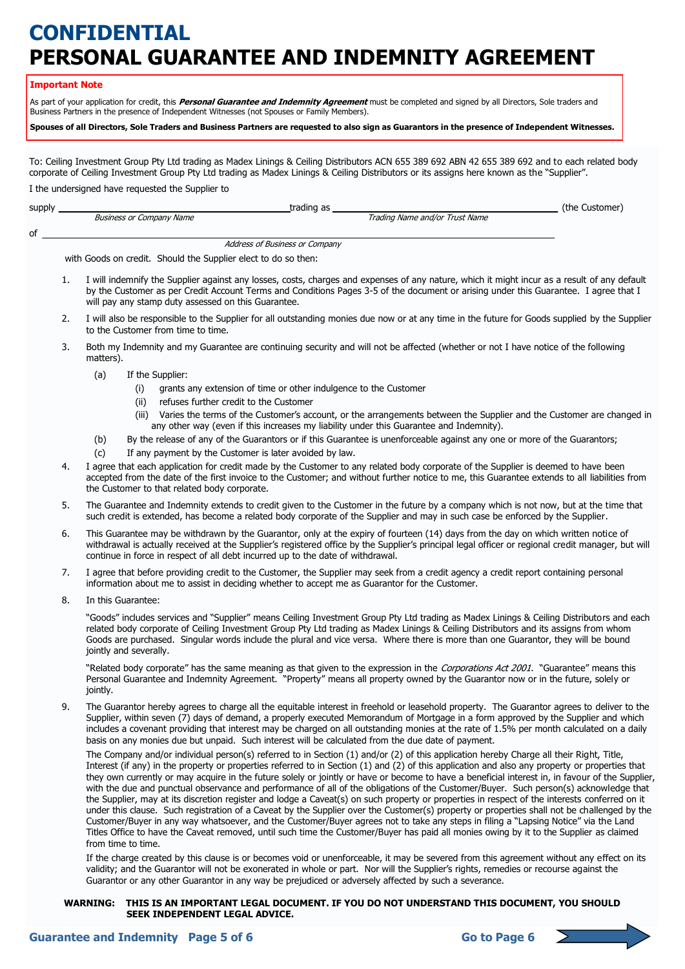# **CONFIDENTIAL PERSONAL GUARANTEE AND INDEMNITY AGREEMENT**

#### **Important Note**

of

As part of your application for credit, this **Personal Guarantee and Indemnity Agreement** must be completed and signed by all Directors, Sole traders and Business Partners in the presence of Independent Witnesses (not Spouses or Family Members).

**Spouses of all Directors, Sole Traders and Business Partners are requested to also sign as Guarantors in the presence of Independent Witnesses.** 

To: Ceiling Investment Group Pty Ltd trading as Madex Linings & Ceiling Distributors ACN 655 389 692 ABN 42 655 389 692 and to each related body corporate of Ceiling Investment Group Pty Ltd trading as Madex Linings & Ceiling Distributors or its assigns here known as the "Supplier".

I the undersigned have requested the Supplier to

| supply |                                                                | trading as                     | (the Customer) |
|--------|----------------------------------------------------------------|--------------------------------|----------------|
|        | Business or Company Name                                       | Trading Name and/or Trust Name |                |
| of     |                                                                |                                |                |
|        | Address of Business or Company                                 |                                |                |
|        | with Goods on credit. Should the Supplier elect to do so then: |                                |                |

- 1. I will indemnify the Supplier against any losses, costs, charges and expenses of any nature, which it might incur as a result of any default by the Customer as per Credit Account Terms and Conditions Pages 3-5 of the document or arising under this Guarantee. I agree that I will pay any stamp duty assessed on this Guarantee.
- 2. I will also be responsible to the Supplier for all outstanding monies due now or at any time in the future for Goods supplied by the Supplier to the Customer from time to time.
- 3. Both my Indemnity and my Guarantee are continuing security and will not be affected (whether or not I have notice of the following matters).
	- (a) If the Supplier:
		- (i) grants any extension of time or other indulgence to the Customer
		- (ii) refuses further credit to the Customer
		- (iii) Varies the terms of the Customer's account, or the arrangements between the Supplier and the Customer are changed in any other way (even if this increases my liability under this Guarantee and Indemnity).
	- (b) By the release of any of the Guarantors or if this Guarantee is unenforceable against any one or more of the Guarantors;
	- (c) If any payment by the Customer is later avoided by law.
- 4. I agree that each application for credit made by the Customer to any related body corporate of the Supplier is deemed to have been accepted from the date of the first invoice to the Customer; and without further notice to me, this Guarantee extends to all liabilities from the Customer to that related body corporate.
- 5. The Guarantee and Indemnity extends to credit given to the Customer in the future by a company which is not now, but at the time that such credit is extended, has become a related body corporate of the Supplier and may in such case be enforced by the Supplier.
- 6. This Guarantee may be withdrawn by the Guarantor, only at the expiry of fourteen (14) days from the day on which written notice of withdrawal is actually received at the Supplier's registered office by the Supplier's principal legal officer or regional credit manager, but will continue in force in respect of all debt incurred up to the date of withdrawal.
- 7. I agree that before providing credit to the Customer, the Supplier may seek from a credit agency a credit report containing personal information about me to assist in deciding whether to accept me as Guarantor for the Customer.
- 8. In this Guarantee:

"Goods" includes services and "Supplier" means Ceiling Investment Group Pty Ltd trading as Madex Linings & Ceiling Distributors and each related body corporate of Ceiling Investment Group Pty Ltd trading as Madex Linings & Ceiling Distributors and its assigns from whom Goods are purchased. Singular words include the plural and vice versa. Where there is more than one Guarantor, they will be bound jointly and severally.

"Related body corporate" has the same meaning as that given to the expression in the Corporations Act 2001. "Guarantee" means this Personal Guarantee and Indemnity Agreement. "Property" means all property owned by the Guarantor now or in the future, solely or jointly.

9. The Guarantor hereby agrees to charge all the equitable interest in freehold or leasehold property. The Guarantor agrees to deliver to the Supplier, within seven (7) days of demand, a properly executed Memorandum of Mortgage in a form approved by the Supplier and which includes a covenant providing that interest may be charged on all outstanding monies at the rate of 1.5% per month calculated on a daily basis on any monies due but unpaid. Such interest will be calculated from the due date of payment.

The Company and/or individual person(s) referred to in Section (1) and/or (2) of this application hereby Charge all their Right, Title, Interest (if any) in the property or properties referred to in Section (1) and (2) of this application and also any property or properties that they own currently or may acquire in the future solely or jointly or have or become to have a beneficial interest in, in favour of the Supplier, with the due and punctual observance and performance of all of the obligations of the Customer/Buyer. Such person(s) acknowledge that the Supplier, may at its discretion register and lodge a Caveat(s) on such property or properties in respect of the interests conferred on it under this clause. Such registration of a Caveat by the Supplier over the Customer(s) property or properties shall not be challenged by the Customer/Buyer in any way whatsoever, and the Customer/Buyer agrees not to take any steps in filing a "Lapsing Notice" via the Land Titles Office to have the Caveat removed, until such time the Customer/Buyer has paid all monies owing by it to the Supplier as claimed from time to time.

If the charge created by this clause is or becomes void or unenforceable, it may be severed from this agreement without any effect on its validity; and the Guarantor will not be exonerated in whole or part. Nor will the Supplier's rights, remedies or recourse against the Guarantor or any other Guarantor in any way be prejudiced or adversely affected by such a severance.